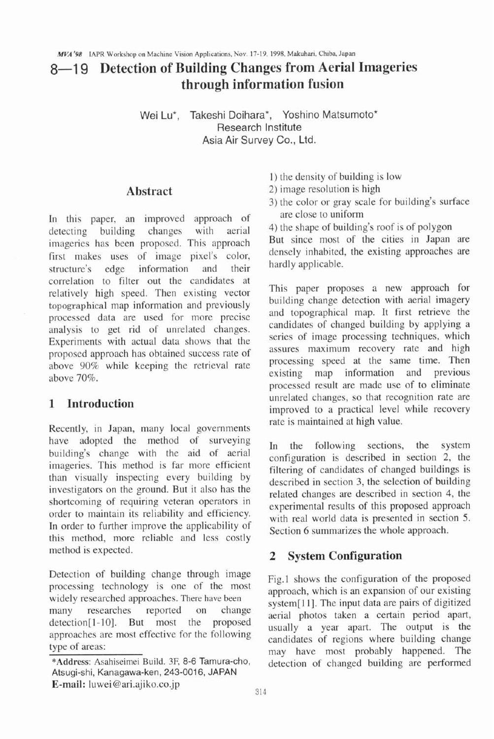# 8-1 9 **Detection of Building Changes from Aerial Imageries through information fusion**

Wei Lu\*, Takeshi Doihara\*, Yoshino Matsumoto\* Research Institute Asia Air Survey Co., Ltd.

#### **Abstract**

In this paper, an improved approach of detecting building changes with aerial 4) the shape of building's roof is of polygon<br>imageries has been proposed. This approach But since most of the cities in Japan are imageries has been proposed. This approach But since most of the cities in Japan are<br>first motor uses of image pixel's color densely inhabited, the existing approaches are first makes uses of image pixel's color, densely inhabited structure's edge information and their hardly applicable. structure's edge information correlation to filter out the candidates at relatively high speed. Then existing vector **topographical** map information and previously processed data are used for more precise analysis to get rid of unrelated changes. Experiments with actual data shows that the proposed approach has obtained success rate of above 90% while keeping the retrieval rate above 70%.

## **1 Introduction**

Recently, in Japan, many local governments have adopted the method of surveying building's change with the aid of aerial imageries. This method is far more efficient than visually inspecting every building by investigators on the ground. But it also has the shortcoming of requiring veteran operators in order to maintain its reliability and efficiency. In order to further improve the applicability of this method, more reliable and less costly method is expected.

Detection of building change through image processing technology is one of the most widely researched approaches. **There have been**  many researches reported on change detection[1-10]. But most the proposed approaches are most effective for the following type of areas:

1) the density of building is low

- 2) image resolution is high
- 3) the color or gray scale for building's surface
- 

This paper proposes a new approach for building change detection with aerial imagery and topographical map. It first retrieve the candidates of changed building by applying a series of image processing techniques, which assures maximum recovery rate and high processing speed at the same time. Then<br>existing map information and previous existing map information and processed result are made use of to eliminate unrelated changes, so that recognition rate are improved to a practical level while recovery rate is maintained at high value.

In the following sections, the system configuration is described in section 2, the filtering of candidates of changed buildings is described in section 3, the selection of building related changes are described in section 4, the experimental results of this proposed approach with real world data is presented in section 5. Section 6 summarizes the whole approach.

#### **2 System Configuration**

Fig.1 shows the configuration of the proposed approach, which is an expansion of our existing system[11]. The input data are pairs of digitized aerial photos taken a certain period apart, usually a year apart. The output is the candidates of regions where building change may have most probably happened. The detection of changed building are performed

**<sup>\*</sup>Address: Asahiseimei Build.** 3F, **8-6** Tamura-cho, Atsugi-shi, Kanagawa-ken, 243-0016, JAPAN **E-mail:** luwei@ari.ajiko.co.jp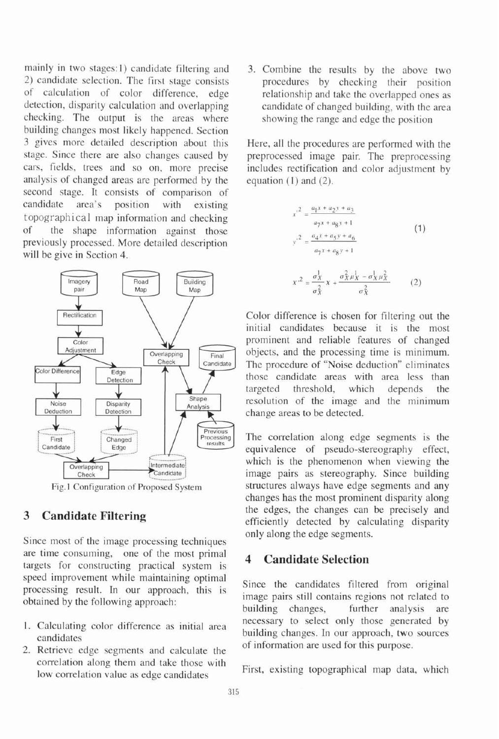mainly in two stages:l) candidate filtering and 2) candidate selection. The first stage consists of calculation of color difference, edge detection, disparity calculation and overlapping checking. The output is the areas where building changes most likely happened. Section 3 gives more detailed description about this stage. Since there are also changes caused by cars, fields, trees and so on, more precise analysis of changed areas are performed by the second stage. It consists of comparison of candidate area's position with existing topographical map information and checking of the shape information against those previously processed. More detailed description will be give in Section 4.



Fig. l Configuration of Proposed System

## **3 Candidate Filtering**

Since most of the image processing techniques are time consuming, one of the most primal targets for constructing practical system is speed improvement while maintaining optimal processing result. In our approach, this is obtained by the following approach:

- 
- 2. Retrieve edge segments and calculate the correlation along them and take those with correlation along them and take those with First, existing topographical map data, which low correlation value as edge candidates

3. Combine the results by the above two procedures by checking their position relationship and take the overlapped ones as candidate of changed building, with the area showing the range and edge the position

Here, all the procedures are performed with the preprocessed image pair. The preprocessing includes rectification and color adjustment by equation (1) and (2).

$$
x^{2} = \frac{a_{1}x + a_{2}y + a_{3}}{a_{7}x + a_{8}y + 1}
$$
\n
$$
y^{2} = \frac{a_{4}x + a_{5}y + a_{6}}{a_{7}x + a_{8}y + 1}
$$
\n
$$
x^{2} = \frac{\sigma_{X}^{1}}{\sigma_{X}^{2}}x + \frac{\sigma_{X}^{2}\mu_{X}^{1} - \sigma_{X}^{1}\mu_{X}^{2}}{\sigma_{X}^{2}}
$$
\n(2)

Color difference is chosen for filtering out the initial candidates because it is the most prominent and reliable features of changed objects, and the processing time is minimum. The procedure of "Noise deduction" eliminates those candidate areas with area less than targeted threshold, which depends the resolution of the image and the minimum change areas to be detected.

The correlation along edge segments is the equivalence of pseudo-stereography effect, which is the phenomenon when viewing the image pairs as stereography. Since building structures always have edge segments and any changes has the most prominent disparity along the edges, the changes can be precisely and efficiently detected by calculating disparity only along the edge segments.

## **4 Candidate Selection**

Since the candidates filtered from original image pairs still contains regions not related to building changes, further analysis are 1. Calculating color difference as initial area necessary to select only those generated by candidates building changes. In our approach, two sources candidates of information are used for this purpose.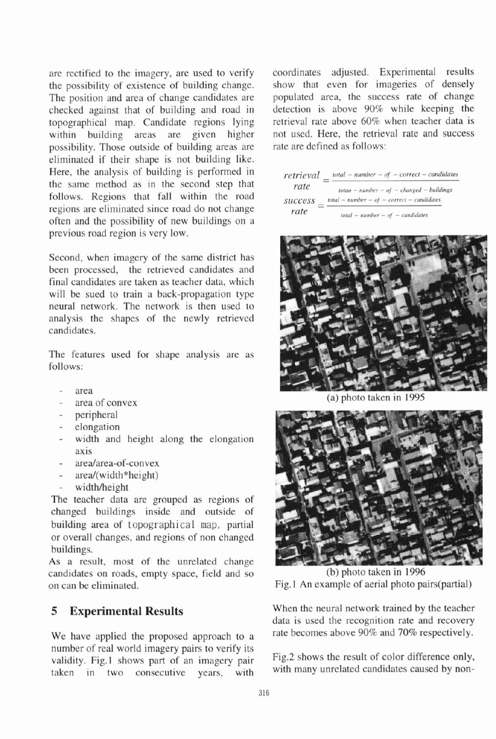are rectified to the imagery, are used to verify the possibility of existence of building change. The position and area of change candidates are checked against that of building and road in topographical map. Candidate regions lying within building areas are given higher possibility. Those outside of building areas are eliminated if their shape is not building like. Here, the analysis of building is performed in the same method as in the second step that follows. Regions that fall within the road regions are eliminated since road do not change often and the possibility of new buildings on a previous road region is very low.

Second, when imagery of the same district has been processed, the retrieved candidates and final candidates are taken as teacher data, which will be sued to train a back-propagation type neural network. The network is then used to analysis the shapes of the newly retrieved candidates.

The features used for shape analysis are as follows:

- area
- area of convex
- peripheral
- 
- elongation<br>width and height along the elongation axis
- area/area-of-convex
- area/(width\*height)
- width/height

The teacher data are grouped as regions of changed buildings inside and outside of building area of **topographical map,** partial or overall changes, and regions of non changed buildings.

As a result, most of the unrelated change candidates on roads, empty space, field and so (b) photo taken in 1996 on can be eliminated. Fig. 1 An example of aerial photo pairs(partia1)

number of real world imagery pairs to verify its validity. Fig.1 shows part of an imagery pair Fig.2 shows the result of color difference only, taken in two consecutive years, with with many unrelated candidates caused by non-

coordinates adjusted. Experimental results show that even for imageries of densely populated area, the success rate of change detection is above 90% while keeping the retrieval rate above 60% when teacher data is not used. Here, the retrieval rate and success rate are defined as follows:





(a) photo taken in 1995



**5 Experimental Results** When the neural network trained by the teacher data is used the recognition rate and recovery We have applied the proposed approach to a rate becomes above 90% and 70% respectively.